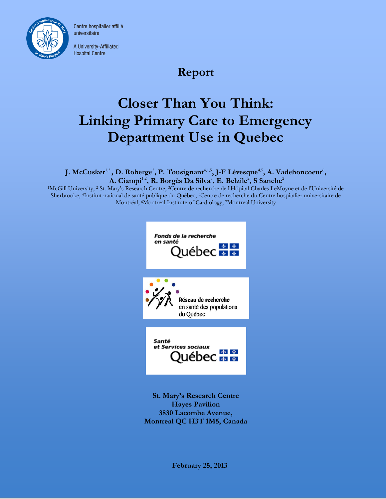

Centre hospitalier affilié universitaire

A University-Affiliated **Hospital Centre** 

# **Report**

# **Closer Than You Think: Linking Primary Care to Emergency Department Use in Quebec**

**J. McCusker** $^{1,2}$ **, D. Roberge** $^3$ **, P. Tousignant** $^{4,1,5}$ **, J-F Lévesque** $^{4,5}$ **, A. Vadeboncoeur** $^6$ **,**  $\mathbf{A}.~\mathbf{Ciampi}^{1,2}, \mathbf{R}.~\mathbf{Borgès}~\mathbf{Da}~\mathbf{Silva}^7, \mathbf{E}.~\mathbf{Belzile}^2, \mathbf{S}~\mathbf{Sanche}^2$ 

<sup>1</sup>McGill University, <sup>2</sup> St. Mary's Research Centre, 3Centre de recherche de l'Hôpital Charles LeMoyne et de l'Université de Sherbrooke, 4Institut national de santé publique du Québec, 5Centre de recherche du Centre hospitalier universitaire de Montréal, <sup>6</sup>Montreal Institute of Cardiology, <sup>7</sup>Montreal University



**St. Mary's Research Centre Hayes Pavilion 3830 Lacombe Avenue, Montreal QC H3T 1M5, Canada**

**February 25, 2013**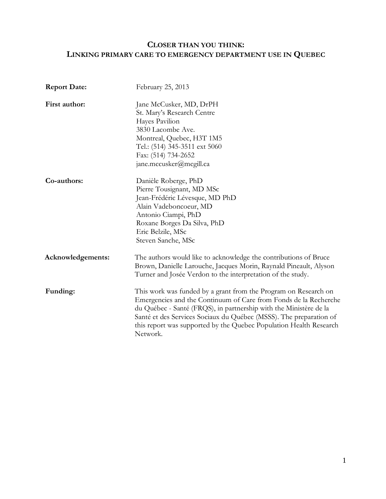# **CLOSER THAN YOU THINK: LINKING PRIMARY CARE TO EMERGENCY DEPARTMENT USE IN QUEBEC**

| <b>Report Date:</b> | February 25, 2013                                                                                                                                                                                                                                                                                                                                                |
|---------------------|------------------------------------------------------------------------------------------------------------------------------------------------------------------------------------------------------------------------------------------------------------------------------------------------------------------------------------------------------------------|
| First author:       | Jane McCusker, MD, DrPH<br>St. Mary's Research Centre<br>Hayes Pavilion<br>3830 Lacombe Ave.<br>Montreal, Quebec, H3T 1M5<br>Tel.: (514) 345-3511 ext 5060<br>Fax: (514) 734-2652<br>jane.mccusker@mcgill.ca                                                                                                                                                     |
| Co-authors:         | Danièle Roberge, PhD<br>Pierre Tousignant, MD MSc<br>Jean-Frédéric Lévesque, MD PhD<br>Alain Vadeboncoeur, MD<br>Antonio Ciampi, PhD<br>Roxane Borges Da Silva, PhD<br>Eric Belzile, MSc<br>Steven Sanche, MSc                                                                                                                                                   |
| Acknowledgements:   | The authors would like to acknowledge the contributions of Bruce<br>Brown, Danielle Larouche, Jacques Morin, Raynald Pineault, Alyson<br>Turner and Josée Verdon to the interpretation of the study.                                                                                                                                                             |
| Funding:            | This work was funded by a grant from the Program on Research on<br>Emergencies and the Continuum of Care from Fonds de la Recherche<br>du Québec - Santé (FRQS), in partnership with the Ministère de la<br>Santé et des Services Sociaux du Québec (MSSS). The preparation of<br>this report was supported by the Quebec Population Health Research<br>Network. |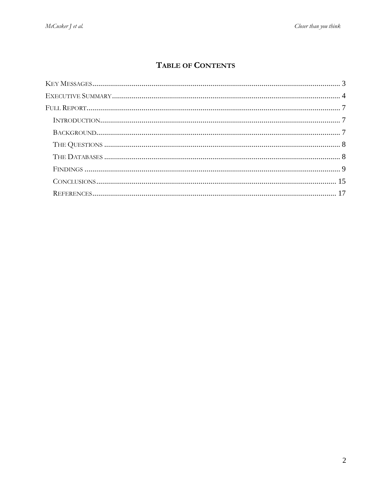# TABLE OF CONTENTS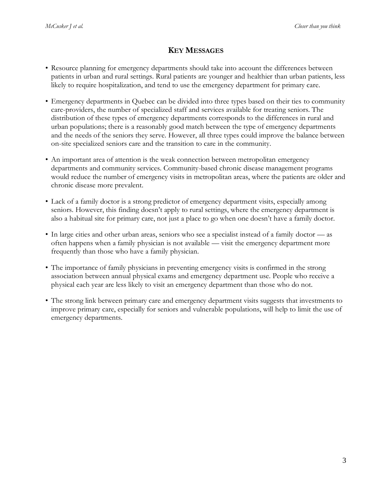# **KEY MESSAGES**

- <span id="page-3-0"></span>• Resource planning for emergency departments should take into account the differences between patients in urban and rural settings. Rural patients are younger and healthier than urban patients, less likely to require hospitalization, and tend to use the emergency department for primary care.
- Emergency departments in Quebec can be divided into three types based on their ties to community care-providers, the number of specialized staff and services available for treating seniors. The distribution of these types of emergency departments corresponds to the differences in rural and urban populations; there is a reasonably good match between the type of emergency departments and the needs of the seniors they serve. However, all three types could improve the balance between on-site specialized seniors care and the transition to care in the community.
- An important area of attention is the weak connection between metropolitan emergency departments and community services. Community-based chronic disease management programs would reduce the number of emergency visits in metropolitan areas, where the patients are older and chronic disease more prevalent.
- Lack of a family doctor is a strong predictor of emergency department visits, especially among seniors. However, this finding doesn't apply to rural settings, where the emergency department is also a habitual site for primary care, not just a place to go when one doesn't have a family doctor.
- In large cities and other urban areas, seniors who see a specialist instead of a family doctor as often happens when a family physician is not available — visit the emergency department more frequently than those who have a family physician.
- The importance of family physicians in preventing emergency visits is confirmed in the strong association between annual physical exams and emergency department use. People who receive a physical each year are less likely to visit an emergency department than those who do not.
- The strong link between primary care and emergency department visits suggests that investments to improve primary care, especially for seniors and vulnerable populations, will help to limit the use of emergency departments.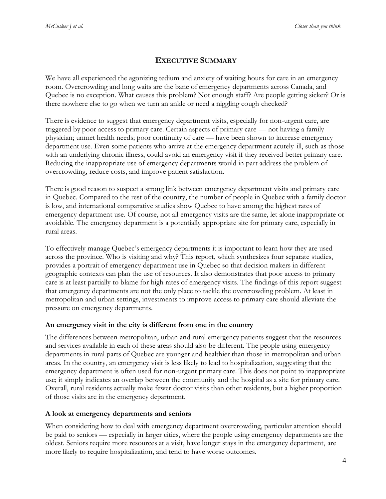# **EXECUTIVE SUMMARY**

<span id="page-4-0"></span>We have all experienced the agonizing tedium and anxiety of waiting hours for care in an emergency room. Overcrowding and long waits are the bane of emergency departments across Canada, and Quebec is no exception. What causes this problem? Not enough staff? Are people getting sicker? Or is there nowhere else to go when we turn an ankle or need a niggling cough checked?

There is evidence to suggest that emergency department visits, especially for non-urgent care, are triggered by poor access to primary care. Certain aspects of primary care — not having a family physician; unmet health needs; poor continuity of care — have been shown to increase emergency department use. Even some patients who arrive at the emergency department acutely-ill, such as those with an underlying chronic illness, could avoid an emergency visit if they received better primary care. Reducing the inappropriate use of emergency departments would in part address the problem of overcrowding, reduce costs, and improve patient satisfaction.

There is good reason to suspect a strong link between emergency department visits and primary care in Quebec. Compared to the rest of the country, the number of people in Quebec with a family doctor is low, and international comparative studies show Quebec to have among the highest rates of emergency department use. Of course, not all emergency visits are the same, let alone inappropriate or avoidable. The emergency department is a potentially appropriate site for primary care, especially in rural areas.

To effectively manage Quebec's emergency departments it is important to learn how they are used across the province. Who is visiting and why? This report, which synthesizes four separate studies, provides a portrait of emergency department use in Quebec so that decision makers in different geographic contexts can plan the use of resources. It also demonstrates that poor access to primary care is at least partially to blame for high rates of emergency visits. The findings of this report suggest that emergency departments are not the only place to tackle the overcrowding problem. At least in metropolitan and urban settings, investments to improve access to primary care should alleviate the pressure on emergency departments.

#### **An emergency visit in the city is different from one in the country**

The differences between metropolitan, urban and rural emergency patients suggest that the resources and services available in each of these areas should also be different. The people using emergency departments in rural parts of Quebec are younger and healthier than those in metropolitan and urban areas. In the country, an emergency visit is less likely to lead to hospitalization, suggesting that the emergency department is often used for non-urgent primary care. This does not point to inappropriate use; it simply indicates an overlap between the community and the hospital as a site for primary care. Overall, rural residents actually make fewer doctor visits than other residents, but a higher proportion of those visits are in the emergency department.

# **A look at emergency departments and seniors**

When considering how to deal with emergency department overcrowding, particular attention should be paid to seniors — especially in larger cities, where the people using emergency departments are the oldest. Seniors require more resources at a visit, have longer stays in the emergency department, are more likely to require hospitalization, and tend to have worse outcomes.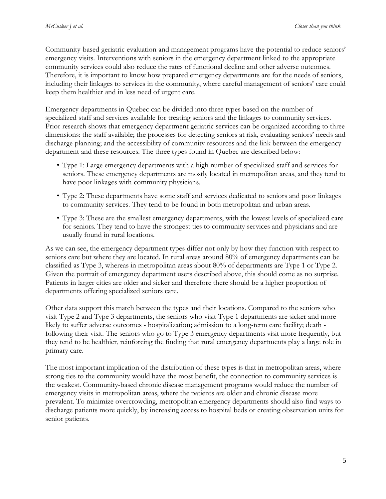Community-based geriatric evaluation and management programs have the potential to reduce seniors' emergency visits. Interventions with seniors in the emergency department linked to the appropriate community services could also reduce the rates of functional decline and other adverse outcomes. Therefore, it is important to know how prepared emergency departments are for the needs of seniors, including their linkages to services in the community, where careful management of seniors' care could keep them healthier and in less need of urgent care.

Emergency departments in Quebec can be divided into three types based on the number of specialized staff and services available for treating seniors and the linkages to community services. Prior research shows that emergency department geriatric services can be organized according to three dimensions: the staff available; the processes for detecting seniors at risk, evaluating seniors' needs and discharge planning; and the accessibility of community resources and the link between the emergency department and these resources. The three types found in Quebec are described below:

- Type 1: Large emergency departments with a high number of specialized staff and services for seniors. These emergency departments are mostly located in metropolitan areas, and they tend to have poor linkages with community physicians.
- Type 2: These departments have some staff and services dedicated to seniors and poor linkages to community services. They tend to be found in both metropolitan and urban areas.
- Type 3: These are the smallest emergency departments, with the lowest levels of specialized care for seniors. They tend to have the strongest ties to community services and physicians and are usually found in rural locations.

As we can see, the emergency department types differ not only by how they function with respect to seniors care but where they are located. In rural areas around 80% of emergency departments can be classified as Type 3, whereas in metropolitan areas about 80% of departments are Type 1 or Type 2. Given the portrait of emergency department users described above, this should come as no surprise. Patients in larger cities are older and sicker and therefore there should be a higher proportion of departments offering specialized seniors care.

Other data support this match between the types and their locations. Compared to the seniors who visit Type 2 and Type 3 departments, the seniors who visit Type 1 departments are sicker and more likely to suffer adverse outcomes - hospitalization; admission to a long-term care facility; death following their visit. The seniors who go to Type 3 emergency departments visit more frequently, but they tend to be healthier, reinforcing the finding that rural emergency departments play a large role in primary care.

The most important implication of the distribution of these types is that in metropolitan areas, where strong ties to the community would have the most benefit, the connection to community services is the weakest. Community-based chronic disease management programs would reduce the number of emergency visits in metropolitan areas, where the patients are older and chronic disease more prevalent. To minimize overcrowding, metropolitan emergency departments should also find ways to discharge patients more quickly, by increasing access to hospital beds or creating observation units for senior patients.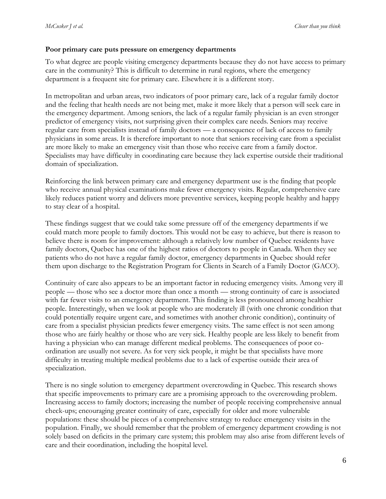#### **Poor primary care puts pressure on emergency departments**

To what degree are people visiting emergency departments because they do not have access to primary care in the community? This is difficult to determine in rural regions, where the emergency department is a frequent site for primary care. Elsewhere it is a different story.

In metropolitan and urban areas, two indicators of poor primary care, lack of a regular family doctor and the feeling that health needs are not being met, make it more likely that a person will seek care in the emergency department. Among seniors, the lack of a regular family physician is an even stronger predictor of emergency visits, not surprising given their complex care needs. Seniors may receive regular care from specialists instead of family doctors — a consequence of lack of access to family physicians in some areas. It is therefore important to note that seniors receiving care from a specialist are more likely to make an emergency visit than those who receive care from a family doctor. Specialists may have difficulty in coordinating care because they lack expertise outside their traditional domain of specialization.

Reinforcing the link between primary care and emergency department use is the finding that people who receive annual physical examinations make fewer emergency visits. Regular, comprehensive care likely reduces patient worry and delivers more preventive services, keeping people healthy and happy to stay clear of a hospital.

These findings suggest that we could take some pressure off of the emergency departments if we could match more people to family doctors. This would not be easy to achieve, but there is reason to believe there is room for improvement: although a relatively low number of Quebec residents have family doctors, Quebec has one of the highest ratios of doctors to people in Canada. When they see patients who do not have a regular family doctor, emergency departments in Quebec should refer them upon discharge to the Registration Program for Clients in Search of a Family Doctor (GACO).

Continuity of care also appears to be an important factor in reducing emergency visits. Among very ill people — those who see a doctor more than once a month — strong continuity of care is associated with far fewer visits to an emergency department. This finding is less pronounced among healthier people. Interestingly, when we look at people who are moderately ill (with one chronic condition that could potentially require urgent care, and sometimes with another chronic condition), continuity of care from a specialist physician predicts fewer emergency visits. The same effect is not seen among those who are fairly healthy or those who are very sick. Healthy people are less likely to benefit from having a physician who can manage different medical problems. The consequences of poor coordination are usually not severe. As for very sick people, it might be that specialists have more difficulty in treating multiple medical problems due to a lack of expertise outside their area of specialization.

There is no single solution to emergency department overcrowding in Quebec. This research shows that specific improvements to primary care are a promising approach to the overcrowding problem. Increasing access to family doctors; increasing the number of people receiving comprehensive annual check-ups; encouraging greater continuity of care, especially for older and more vulnerable populations: these should be pieces of a comprehensive strategy to reduce emergency visits in the population. Finally, we should remember that the problem of emergency department crowding is not solely based on deficits in the primary care system; this problem may also arise from different levels of care and their coordination, including the hospital level.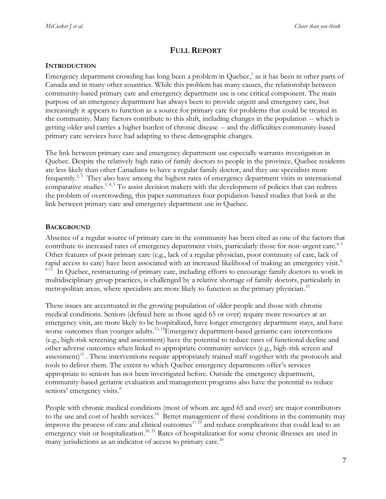# **FULL REPORT**

#### <span id="page-7-1"></span><span id="page-7-0"></span>**INTRODUCTION**

Emergency department crowding has long been a problem in Quebec[,](#page-17-1) 1 as it has been in other parts of Canada and in many other countries. While this problem has many causes, the relationship between community-based primary care and emergency department use is one critical component. The main purpose of an emergency department has always been to provide urgent and emergency care, but increasingly it appears to function as a source for primary care for problems that could be treated in the community. Many factors contribute to this shift, including changes in the population -- which is getting older and carries a higher burden of chronic disease -- and the difficulties community-based primary care services have had adapting to these demographic changes.

The link between primary care and emergency department use especially warrants investigation in Quebec. Despite the relatively high ratio of family doctors to people in the province, Quebec residents are less likely than other Canadians to have a regular family doctor, and they use specialists more frequently.<sup>[2,](#page-17-2)3</sup> They also have among the highest rates of emergency department visits in international comparative studies.<sup>[1,](#page-17-1) [4,](#page-17-4) [5](#page-17-5)</sup> To assist decision makers with the development of policies that can redress the problem of overcrowding, this paper summarizes four population-based studies that look at the link between primary care and emergency department use in Quebec.

#### <span id="page-7-2"></span>**BACKGROUND**

Absence of a regular source of primary care in the community has been cited as one of the factors that contribute to increased rates of emergency department visits, particularly those for non-urgent car[e.](#page-17-4)<sup>4,5</sup> Other features of poor primary care (e.g., lack of a regular physician, poor continuity of care, lack of rapid access to care) have been associated with an increased likelihood of making an emergency visit.<sup>[4,](#page-17-4)</sup>  $6-11$  In Quebec, restructuring of primary care, including efforts to encourage family doctors to work in multidisciplinary group practices, is challenged by a relative shortage of family doctors, particularly in metropolitan areas, where specialists are more likely to function as the primary physician.<sup>[12](#page-17-7)</sup>

These issues are accentuated in the growing population of older people and those with chronic medical conditions. Seniors (defined here as those aged 65 or over) require more resources at an emergency visit, are more likely to be hospitalized, have longer emergency department stays, and have worse outcomes than younger adults.<sup>[13,](#page-17-8)14</sup>Emergency department-based geriatric-care interventions (e.g., high-risk screening and assessment) have the potential to reduce rates of functional decline and other adverse outcomes when linked to appropriate community services (e.g., high-risk screen and assessment)<sup>[15](#page-18-1)</sup>. These interventions require appropriately trained staff together with the protocols and tools to deliver them. The extent to which Quebec emergency departments offer's services appropriate to seniors has not been investigated before. Outside the emergency department, community-based geriatric evaluation and management programs also have the potential to reduce seniors' emergency visits[.](#page-17-9)<sup>8</sup>

People with chronic medical conditions (most of whom are aged 65 and over) are major contributors to the use and cost of health services.<sup>[16](#page-18-2)</sup> Better management of these conditions in the community may improve the process of care and clinical outcomes<sup>[17-19](#page-18-3)</sup> and reduce complications that could lead to an emergency visit or hospitalization.<sup>[20,](#page-18-4) [21](#page-18-5)</sup> Rates of hospitalization for some chronic illnesses are used in many jurisdictions as an indicator of access to primary care.<sup>[20](#page-18-4)</sup>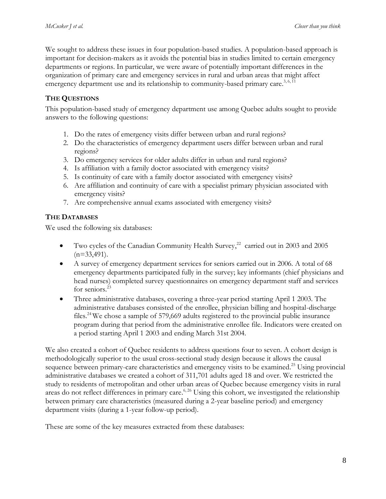We sought to address these issues in four population-based studies. A population-based approach is important for decision-makers as it avoids the potential bias in studies limited to certain emergency departments or regions. In particular, we were aware of potentially important differences in the organization of primary care and emergency services in rural and urban areas that might affect emergency department use and its relationship to community-based primary car[e.](#page-17-3)<sup>3,6, $\overline{11}$ </sup>

#### <span id="page-8-0"></span>**THE QUESTIONS**

This population-based study of emergency department use among Quebec adults sought to provide answers to the following questions:

- 1. Do the rates of emergency visits differ between urban and rural regions?
- 2. Do the characteristics of emergency department users differ between urban and rural regions?
- 3. Do emergency services for older adults differ in urban and rural regions?
- 4. Is affiliation with a family doctor associated with emergency visits?
- 5. Is continuity of care with a family doctor associated with emergency visits?
- 6. Are affiliation and continuity of care with a specialist primary physician associated with emergency visits?
- 7. Are comprehensive annual exams associated with emergency visits?

## <span id="page-8-1"></span>**THE DATABASES**

We used the following six databases:

- Two cycles of the Canadian Community Health Survey,<sup>[22](#page-18-6)</sup> carried out in 2003 and 2005  $(n=33,491)$ .
- A survey of emergency department services for seniors carried out in 2006. A total of 68 emergency departments participated fully in the survey; key informants (chief physicians and head nurses) completed survey questionnaires on emergency department staff and services for seniors.<sup>[23](#page-18-7)</sup>
- Three administrative databases, covering a three-year period starting April 1 2003. The administrative databases consisted of the enrollee, physician billing and hospital-discharge files.<sup>[24](#page-18-8)</sup> We chose a sample of 579,669 adults registered to the provincial public insurance program during that period from the administrative enrollee file. Indicators were created on a period starting April 1 2003 and ending March 31st 2004.

We also created a cohort of Quebec residents to address questions four to seven. A cohort design is methodologically superior to the usual cross-sectional study design because it allows the causal sequence between primary-care characteristics and emergency visits to be examined.<sup>[25](#page-18-9)</sup> Using provincial administrative databases we created a cohort of 311,701 adults aged 18 and over. We restricted the study to residents of metropolitan and other urban areas of Quebec because emergency visits in rural areas do not reflect differences in primary care.<sup>[6,](#page-17-6) [26](#page-18-10)</sup> Using this cohort, we investigated the relationship between primary care characteristics (measured during a 2-year baseline period) and emergency department visits (during a 1-year follow-up period).

These are some of the key measures extracted from these databases: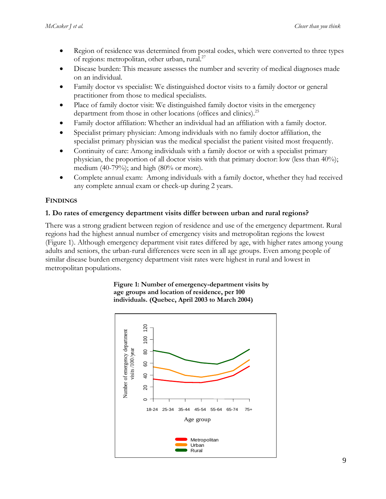- Region of residence was determined from postal codes, which were converted to three types of regions: metropolitan, other urban, rural.<sup>[27](#page-18-11)</sup>
- Disease burden: This measure assesses the number and severity of medical diagnoses made on an individual.
- Family doctor vs specialist: We distinguished doctor visits to a family doctor or general practitioner from those to medical specialists.
- Place of family doctor visit: We distinguished family doctor visits in the emergency department from those in other locations (offices and clinics).<sup>[25](#page-18-9)</sup>
- Family doctor affiliation: Whether an individual had an affiliation with a family doctor.
- Specialist primary physician: Among individuals with no family doctor affiliation, the specialist primary physician was the medical specialist the patient visited most frequently.
- Continuity of care: Among individuals with a family doctor or with a specialist primary physician, the proportion of all doctor visits with that primary doctor: low (less than 40%); medium (40-79%); and high (80% or more).
- Complete annual exam: Among individuals with a family doctor, whether they had received any complete annual exam or check-up during 2 years.

## <span id="page-9-0"></span>**FINDINGS**

## **1. Do rates of emergency department visits differ between urban and rural regions?**

There was a strong gradient between region of residence and use of the emergency department. Rural regions had the highest annual number of emergency visits and metropolitan regions the lowest (Figure 1). Although emergency department visit rates differed by age, with higher rates among young adults and seniors, the urban-rural differences were seen in all age groups. Even among people of similar disease burden emergency department visit rates were highest in rural and lowest in metropolitan populations.



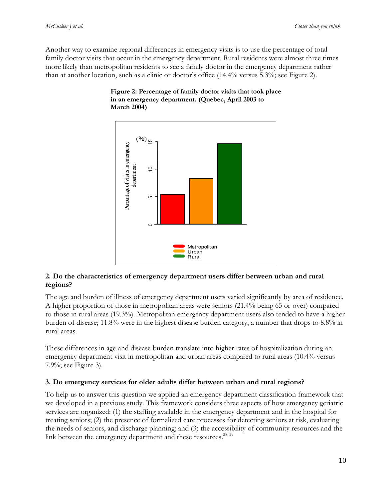Another way to examine regional differences in emergency visits is to use the percentage of total family doctor visits that occur in the emergency department. Rural residents were almost three times more likely than metropolitan residents to see a family doctor in the emergency department rather than at another location, such as a clinic or doctor's office (14.4% versus 5.3%; see Figure 2).



#### **Figure 2: Percentage of family doctor visits that took place in an emergency department. (Quebec, April 2003 to March 2004)**

#### **2. Do the characteristics of emergency department users differ between urban and rural regions?**

The age and burden of illness of emergency department users varied significantly by area of residence. A higher proportion of those in metropolitan areas were seniors (21.4% being 65 or over) compared to those in rural areas (19.3%). Metropolitan emergency department users also tended to have a higher burden of disease; 11.8% were in the highest disease burden category, a number that drops to 8.8% in rural areas.

These differences in age and disease burden translate into higher rates of hospitalization during an emergency department visit in metropolitan and urban areas compared to rural areas (10.4% versus 7.9%; see Figure 3).

#### **3. Do emergency services for older adults differ between urban and rural regions?**

To help us to answer this question we applied an emergency department classification framework that we developed in a previous study. This framework considers three aspects of how emergency geriatric services are organized: (1) the staffing available in the emergency department and in the hospital for treating seniors; (2) the presence of formalized care processes for detecting seniors at risk, evaluating the needs of seniors, and discharge planning; and (3) the accessibility of community resources and the link between the emergency department and these resources.<sup>[28,](#page-18-12) [29](#page-18-13)</sup>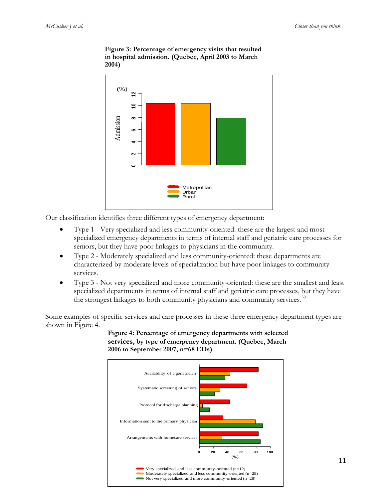

**Figure 3: Percentage of emergency visits that resulted in hospital admission. (Quebec, April 2003 to March 2004)**

Our classification identifies three different types of emergency department:

- Type 1 Very specialized and less community-oriented: these are the largest and most specialized emergency departments in terms of internal staff and geriatric care processes for seniors, but they have poor linkages to physicians in the community.
- Type 2 Moderately specialized and less community-oriented: these departments are characterized by moderate levels of specialization but have poor linkages to community services.
- Type 3 Not very specialized and more community-oriented: these are the smallest and least specialized departments in terms of internal staff and geriatric care processes, but they have the strongest linkages to both community physicians and community services.<sup>[30](#page-18-14)</sup>

Some examples of specific services and care processes in these three emergency department types are shown in Figure 4.



**Figure 4: Percentage of emergency departments with selected services, by type of emergency department. (Quebec, March 2006 to September 2007, n=68 EDs)**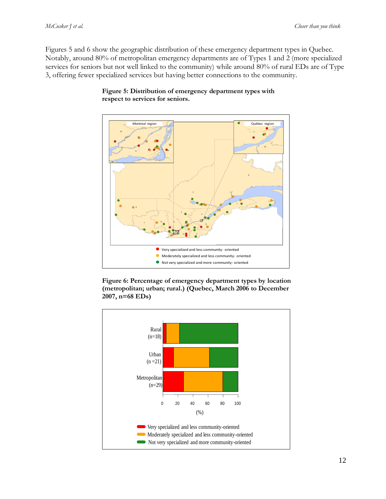Figures 5 and 6 show the geographic distribution of these emergency department types in Quebec. Notably, around 80% of metropolitan emergency departments are of Types 1 and 2 (more specialized services for seniors but not well linked to the community) while around 80% of rural EDs are of Type 3, offering fewer specialized services but having better connections to the community.



#### **Figure 5: Distribution of emergency department types with respect to services for seniors.**

**Figure 6: Percentage of emergency department types by location (metropolitan; urban; rural.) (Quebec, March 2006 to December 2007, n=68 EDs)**

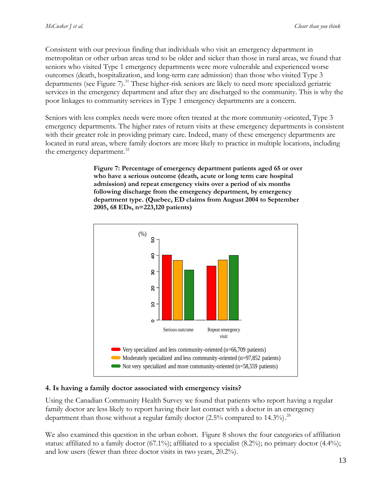Consistent with our previous finding that individuals who visit an emergency department in metropolitan or other urban areas tend to be older and sicker than those in rural areas, we found that seniors who visited Type 1 emergency departments were more vulnerable and experienced worse outcomes (death, hospitalization, and long-term care admission) than those who visited Type 3 departments (see Figure 7). [31](#page-18-15) These higher-risk seniors are likely to need more specialized geriatric services in the emergency department and after they are discharged to the community. This is why the poor linkages to community services in Type 1 emergency departments are a concern.

Seniors with less complex needs were more often treated at the more community-oriented, Type 3 emergency departments. The higher rates of return visits at these emergency departments is consistent with their greater role in providing primary care. Indeed, many of these emergency departments are located in rural areas, where family doctors are more likely to practice in multiple locations, including the emergency department.<sup>[32](#page-18-16)</sup>

> **Figure 7: Percentage of emergency department patients aged 65 or over who have a serious outcome (death, acute or long term care hospital admission) and repeat emergency visits over a period of six months following discharge from the emergency department, by emergency department type. (Quebec, ED claims from August 2004 to September 2005, 68 EDs, n=223,120 patients)**



#### **4. Is having a family doctor associated with emergency visits?**

Using the Canadian Community Health Survey we found that patients who report having a regular family doctor are less likely to report having their last contact with a doctor in an emergency department than those without a regular family doctor (2.5% compared to 14.3%).<sup>[26](#page-18-10)</sup>

We also examined this question in the urban cohort. Figure 8 shows the four categories of affiliation status: affiliated to a family doctor (67.1%); affiliated to a specialist (8.2%); no primary doctor (4.4%); and low users (fewer than three doctor visits in two years, 20.2%).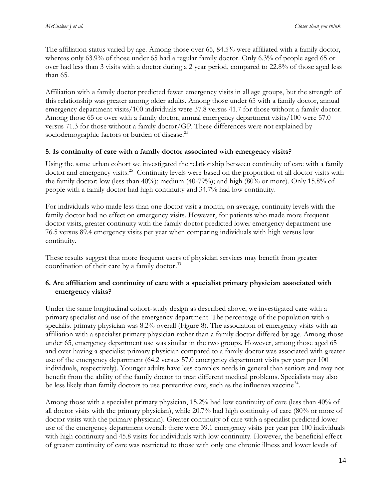The affiliation status varied by age. Among those over 65, 84.5% were affiliated with a family doctor, whereas only 63.9% of those under 65 had a regular family doctor. Only 6.3% of people aged 65 or over had less than 3 visits with a doctor during a 2 year period, compared to 22.8% of those aged less than 65.

Affiliation with a family doctor predicted fewer emergency visits in all age groups, but the strength of this relationship was greater among older adults. Among those under 65 with a family doctor, annual emergency department visits/100 individuals were 37.8 versus 41.7 for those without a family doctor. Among those 65 or over with a family doctor, annual emergency department visits/100 were 57.0 versus 71.3 for those without a family doctor/GP. These differences were not explained by sociodemographic factors or burden of disease.<sup>[25](#page-18-9)</sup>

## **5. Is continuity of care with a family doctor associated with emergency visits?**

Using the same urban cohort we investigated the relationship between continuity of care with a family doctor and emergency visits.<sup>[25](#page-18-9)</sup> Continuity levels were based on the proportion of all doctor visits with the family doctor: low (less than 40%); medium (40-79%); and high (80% or more). Only 15.8% of people with a family doctor had high continuity and 34.7% had low continuity.

For individuals who made less than one doctor visit a month, on average, continuity levels with the family doctor had no effect on emergency visits. However, for patients who made more frequent doctor visits, greater continuity with the family doctor predicted lower emergency department use -- 76.5 versus 89.4 emergency visits per year when comparing individuals with high versus low continuity.

These results suggest that more frequent users of physician services may benefit from greater coordination of their care by a family doctor.<sup>[33](#page-19-0)</sup>

#### **6. Are affiliation and continuity of care with a specialist primary physician associated with emergency visits?**

Under the same longitudinal cohort-study design as described above, we investigated care with a primary specialist and use of the emergency department. The percentage of the population with a specialist primary physician was 8.2% overall (Figure 8). The association of emergency visits with an affiliation with a specialist primary physician rather than a family doctor differed by age. Among those under 65, emergency department use was similar in the two groups. However, among those aged 65 and over having a specialist primary physician compared to a family doctor was associated with greater use of the emergency department (64.2 versus 57.0 emergency department visits per year per 100 individuals, respectively). Younger adults have less complex needs in general than seniors and may not benefit from the ability of the family doctor to treat different medical problems. Specialists may also be less likely than family doctors to use preventive care, such as the influenza vaccine<sup>[34](#page-19-1)</sup>.

Among those with a specialist primary physician, 15.2% had low continuity of care (less than 40% of all doctor visits with the primary physician), while 20.7% had high continuity of care (80% or more of doctor visits with the primary physician). Greater continuity of care with a specialist predicted lower use of the emergency department overall: there were 39.1 emergency visits per year per 100 individuals with high continuity and 45.8 visits for individuals with low continuity. However, the beneficial effect of greater continuity of care was restricted to those with only one chronic illness and lower levels of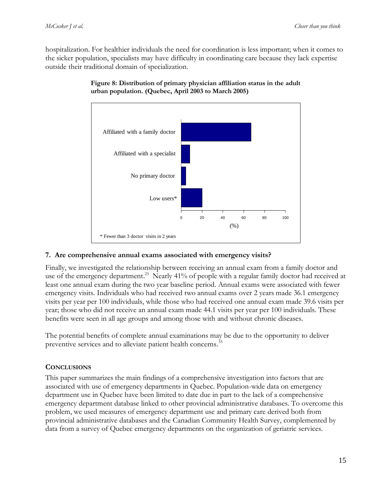hospitalization. For healthier individuals the need for coordination is less important; when it comes to the sicker population, specialists may have difficulty in coordinating care because they lack expertise outside their traditional domain of specialization.



**Figure 8: Distribution of primary physician affiliation status in the adult urban population. (Quebec, April 2003 to March 2005)**

#### **7. Are comprehensive annual exams associated with emergency visits?**

Finally, we investigated the relationship between receiving an annual exam from a family doctor and use of the emergency department.<sup>[25](#page-18-9)</sup> Nearly 41% of people with a regular family doctor had received at least one annual exam during the two year baseline period. Annual exams were associated with fewer emergency visits. Individuals who had received two annual exams over 2 years made 36.1 emergency visits per year per 100 individuals, while those who had received one annual exam made 39.6 visits per year; those who did not receive an annual exam made 44.1 visits per year per 100 individuals. These benefits were seen in all age groups and among those with and without chronic diseases.

The potential benefits of complete annual examinations may be due to the opportunity to deliver preventive services and to alleviate patient health concerns.<sup>[35](#page-19-2)</sup>

#### <span id="page-15-0"></span>**CONCLUSIONS**

This paper summarizes the main findings of a comprehensive investigation into factors that are associated with use of emergency departments in Quebec. Population-wide data on emergency department use in Quebec have been limited to date due in part to the lack of a comprehensive emergency department database linked to other provincial administrative databases. To overcome this problem, we used measures of emergency department use and primary care derived both from provincial administrative databases and the Canadian Community Health Survey, complemented by data from a survey of Quebec emergency departments on the organization of geriatric services.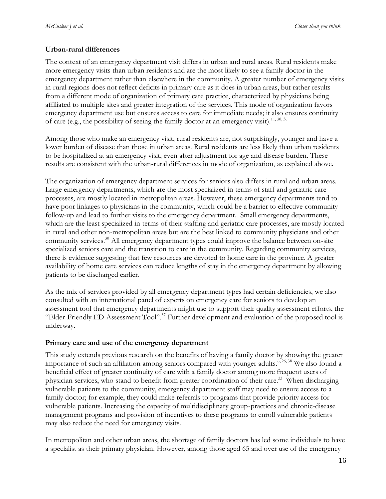#### **Urban-rural differences**

The context of an emergency department visit differs in urban and rural areas. Rural residents make more emergency visits than urban residents and are the most likely to see a family doctor in the emergency department rather than elsewhere in the community. A greater number of emergency visits in rural regions does not reflect deficits in primary care as it does in urban areas, but rather results from a different mode of organization of primary care practice, characterized by physicians being affiliated to multiple sites and greater integration of the services. This mode of organization favors emergency department use but ensures access to care for immediate needs; it also ensures continuity of care (e.g., the possibility of seeing the family doctor at an emergency visit).<sup>[11,](#page-17-10) [30,](#page-18-14) [36](#page-19-3)</sup>

Among those who make an emergency visit, rural residents are, not surprisingly, younger and have a lower burden of disease than those in urban areas. Rural residents are less likely than urban residents to be hospitalized at an emergency visit, even after adjustment for age and disease burden. These results are consistent with the urban-rural differences in mode of organization, as explained above.

The organization of emergency department services for seniors also differs in rural and urban areas. Large emergency departments, which are the most specialized in terms of staff and geriatric care processes, are mostly located in metropolitan areas. However, these emergency departments tend to have poor linkages to physicians in the community, which could be a barrier to effective community follow-up and lead to further visits to the emergency department. Small emergency departments, which are the least specialized in terms of their staffing and geriatric care processes, are mostly located in rural and other non-metropolitan areas but are the best linked to community physicians and other community services.<sup>[30](#page-18-14)</sup> All emergency department types could improve the balance between on-site specialized seniors care and the transition to care in the community. Regarding community services, there is evidence suggesting that few resources are devoted to home care in the province. A greater availability of home care services can reduce lengths of stay in the emergency department by allowing patients to be discharged earlier.

As the mix of services provided by all emergency department types had certain deficiencies, we also consulted with an international panel of experts on emergency care for seniors to develop an assessment tool that emergency departments might use to support their quality assessment efforts, the "Elder-Friendly ED Assessment Tool".[37](#page-19-4) Further development and evaluation of the proposed tool is underway.

#### **Primary care and use of the emergency department**

This study extends previous research on the benefits of having a family doctor by showing the greater importance of such an affiliation among seniors compared with younger adults.<sup>[6,](#page-17-6) [26,](#page-18-10) [38](#page-19-5)</sup> We also found a beneficial effect of greater continuity of care with a family doctor among more frequent users of physician services, who stand to benefit from greater coordination of their care.<sup>[33](#page-19-0)</sup> When discharging vulnerable patients to the community, emergency department staff may need to ensure access to a family doctor; for example, they could make referrals to programs that provide priority access for vulnerable patients. Increasing the capacity of multidisciplinary group-practices and chronic-disease management programs and provision of incentives to these programs to enroll vulnerable patients may also reduce the need for emergency visits.

In metropolitan and other urban areas, the shortage of family doctors has led some individuals to have a specialist as their primary physician. However, among those aged 65 and over use of the emergency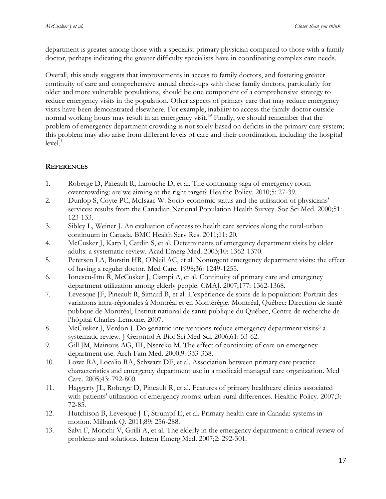department is greater among those with a specialist primary physician compared to those with a family doctor, perhaps indicating the greater difficulty specialists have in coordinating complex care needs.

Overall, this study suggests that improvements in access to family doctors, and fostering greater continuity of care and comprehensive annual check-ups with these family doctors, particularly for older and more vulnerable populations, should be one component of a comprehensive strategy to reduce emergency visits in the population. Other aspects of primary care that may reduce emergency visits have been demonstrated elsewhere. For example, inability to access the family doctor outside normal working hours may result in an emergency visit. [39](#page-19-6) Finally, we should remember that the problem of emergency department crowding is not solely based on deficits in the primary care system; this problem may also arise from different levels of care and their coordination, including the hospital level[.](#page-17-1) 1

# <span id="page-17-0"></span>**REFERENCES**

- <span id="page-17-1"></span>1. Roberge D, Pineault R, Larouche D, et al. The continuing saga of emergency room overcrowding: are we aiming at the right target? Healthc Policy. 2010;5: 27-39.
- <span id="page-17-2"></span>2. Dunlop S, Coyte PC, McIsaac W. Socio-economic status and the utilisation of physicians' services: results from the Canadian National Population Health Survey. Soc Sci Med. 2000;51: 123-133.
- <span id="page-17-3"></span>3. Sibley L, Weiner J. An evaluation of access to health care services along the rural-urban continuum in Canada. BMC Health Serv Res. 2011;11: 20.
- <span id="page-17-4"></span>4. McCusker J, Karp I, Cardin S, et al. Determinants of emergency department visits by older adults: a systematic review. Acad Emerg Med. 2003;10: 1362-1370.
- <span id="page-17-5"></span>5. Petersen LA, Burstin HR, O'Neil AC, et al. Nonurgent emergency department visits: the effect of having a regular doctor. Med Care. 1998;36: 1249-1255.
- <span id="page-17-6"></span>6. Ionescu-Ittu R, McCusker J, Ciampi A, et al. Continuity of primary care and emergency department utilization among elderly people. CMAJ. 2007;177: 1362-1368.
- 7. Levesque JF, Pineault R, Simard B, et al. L'expérience de soins de la population: Portrait des variations intra-régionales à Montréal et en Montérégie. Montréal, Québec: Direction de santé publique de Montréal, Institut national de santé publique du Québec, Centre de recherche de l'hôpital Charles-Lemoine, 2007.
- <span id="page-17-9"></span>8. McCusker J, Verdon J. Do geriatric interventions reduce emergency department visits? a systematic review. J Gerontol A Biol Sci Med Sci. 2006;61: 53-62.
- 9. Gill JM, Mainous AG, III, Nsereko M. The effect of continuity of care on emergency department use. Arch Fam Med. 2000;9: 333-338.
- 10. Lowe RA, Localio RA, Schwarz DF, et al. Association between primary care practice characteristics and emergency department use in a medicaid managed care organization. Med Care. 2005;43: 792-800.
- <span id="page-17-10"></span>11. Haggerty JL, Roberge D, Pineault R, et al. Features of primary healthcare clinics associated with patients' utilization of emergency rooms: urban-rural differences. Healthc Policy. 2007;3: 72-85.
- <span id="page-17-7"></span>12. Hutchison B, Levesque J-F, Strumpf E, et al. Primary health care in Canada: systems in motion. Milbank Q. 2011;89: 256-288.
- <span id="page-17-8"></span>13. Salvi F, Morichi V, Grilli A, et al. The elderly in the emergency department: a critical review of problems and solutions. Intern Emerg Med. 2007;2: 292-301.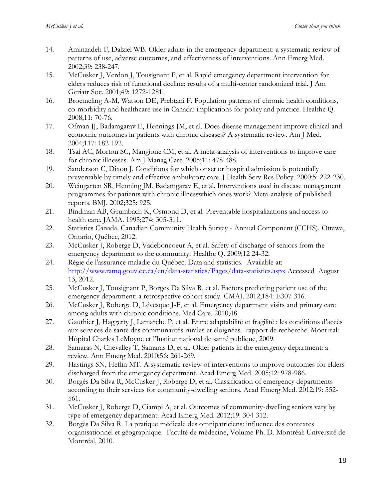- <span id="page-18-0"></span>14. Aminzadeh F, Dalziel WB. Older adults in the emergency department: a systematic review of patterns of use, adverse outcomes, and effectiveness of interventions. Ann Emerg Med. 2002;39: 238-247.
- <span id="page-18-1"></span>15. McCusker J, Verdon J, Tousignant P, et al. Rapid emergency department intervention for elders reduces risk of functional decline: results of a multi-center randomized trial. J Am Geriatr Soc. 2001;49: 1272-1281.
- <span id="page-18-2"></span>16. Broemeling A-M, Watson DE, Prebtani F. Population patterns of chronic health conditions, co-morbidity and healthcare use in Canada: implications for policy and practice. Healthc Q. 2008;11: 70-76.
- <span id="page-18-3"></span>17. Ofman JJ, Badamgarav E, Hennings JM, et al. Does disease management improve clinical and economic outcomes in patients with chronic diseases? A systematic review. Am J Med. 2004;117: 182-192.
- 18. Tsai AC, Morton SC, Mangione CM, et al. A meta-analysis of interventions to improve care for chronic illnesses. Am J Manag Care. 2005;11: 478-488.
- 19. Sanderson C, Dixon J. Conditions for which onset or hospital admission is potentially preventable by timely and effective ambulatory care. J Health Serv Res Policy. 2000;5: 222-230.
- <span id="page-18-4"></span>20. Weingarten SR, Henning JM, Badamgarav E, et al. Interventions used in disease management programmes for patients with chronic illnesswhich ones work? Meta-analysis of published reports. BMJ. 2002;325: 925.
- <span id="page-18-5"></span>21. Bindman AB, Grumbach K, Osmond D, et al. Preventable hospitalizations and access to health care. JAMA. 1995;274: 305-311.
- <span id="page-18-6"></span>22. Statistics Canada. Canadian Community Health Survey - Annual Component (CCHS). Ottawa, Ontario, Québec, 2012.
- <span id="page-18-7"></span>23. McCusker J, Roberge D, Vadeboncoeur A, et al. Safety of discharge of seniors from the emergency department to the community. Healthc Q. 2009;12 24-32.
- <span id="page-18-8"></span>24. Régie de l'assurance maladie du Québec. Data and statistics. Available at: <http://www.ramq.gouv.qc.ca/en/data-statistics/Pages/data-statistics.aspx> Accessed August 13, 2012.
- <span id="page-18-9"></span>25. McCusker J, Tousignant P, Borges Da Silva R, et al. Factors predicting patient use of the emergency department: a retrospective cohort study. CMAJ. 2012;184: E307-316.
- <span id="page-18-10"></span>26. McCusker J, Roberge D, Lévesque J-F, et al. Emergency department visits and primary care among adults with chronic conditions. Med Care. 2010;48.
- <span id="page-18-11"></span>27. Gauthier J, Haggerty J, Lamarche P, et al. Entre adaptabilité et fragilité : les conditions d'accès aux services de santé des communautés rurales et éloignées. rapport de recherche. Montreal: Hôpital Charles LeMoyne et l'Institut national de santé publique, 2009.
- <span id="page-18-12"></span>28. Samaras N, Chevalley T, Samaras D, et al. Older patients in the emergency department: a review. Ann Emerg Med. 2010;56: 261-269.
- <span id="page-18-13"></span>29. Hastings SN, Heflin MT. A systematic review of interventions to improve outcomes for elders discharged from the emergency department. Acad Emerg Med. 2005;12: 978-986.
- <span id="page-18-14"></span>30. Borgès Da Silva R, McCusker J, Roberge D, et al. Classification of emergency departments according to their services for community-dwelling seniors. Acad Emerg Med. 2012;19: 552- 561.
- <span id="page-18-15"></span>31. McCusker J, Roberge D, Ciampi A, et al. Outcomes of community-dwelling seniors vary by type of emergency department. Acad Emerg Med. 2012;19: 304-312.
- <span id="page-18-16"></span>32. Borgès Da Silva R. La pratique médicale des omnipatriciens: influence des contextes organisationnel et géographique. Faculté de médecine, Volume Ph. D. Montréal: Université de Montréal, 2010.